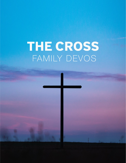# THE CROSS FAMILY DEVOS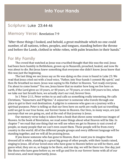## **Into Your Hands**

## **Scripture:** Luke 23:44-46

#### **Memory Verse:** Revelation 7:9

"After these things I looked, and behold, a great multitude which no one could number, of all nations, tribes, peoples, and tongues, standing before the throne and before the Lamb, clothed in white robes, with palm branches in their hands."

## **For My Family**

The crowd that watched as Jesus was crucified thought that this was the end. Jesus had been born humbly in Bethlehem, grown up in Nazareth, preached, healed, and now He was about to die. But Jesus knew something that everyone else didn't know. Jesus knew that this was just the beginning.

The last thing we see Jesus say as He was dying on the cross is found in Luke 23. We read that Jesus cried out with a loud voice, "Father, into Your hands I commit My spirit," and then He breathed no more. Jesus was saying to His Father in Heaven, "Get ready everyone, I'm about to come home!" You see, Jesus knew that no matter how long we live here on earth, if the Lord gives us 10 years, or 40 years, or 70 years, or even 100 years to live, when we take our last breath here, we actually start our real, forever lives.

In 1 Peter 2:11, Peter writes to us and calls us something really interesting. He calls Christians, "Sojourners and Pilgrims." A sojourner is someone who travels through one place to get to their real destination. A pilgrim is someone who goes on a journey with a spiritual purpose. Peter is telling us that our lives here on earth are really just us travelling until we get to our true home, our forever home in Heaven. Our lives, in many ways, are just journeys that we are going on, and at the end of that journey is Jesus.

Our memory verse today is taken from a book that shows some wonderous images of Heaven. In the book of Revelation, we read some things about what Heaven will be like. In chapter 7 we read that one thing that we will see when we get to Heaven is vast crowd of people, so many people that we can't even count them. These people will be from every country in the world. All of the different people groups and every different language will be standing together, and we will all be praising Jesus.

If you know someone who has gone to Heaven, then I want you to imagine them dressed all in white, standing in a great big group of other people, with their hands raised, singing to Jesus. All of our loved ones who have gone to Heaven before us will be there, and guess what, they are so, so happy to be there, and one day, we will be there too. One day, just like those who have gone before us, we will go and live in our forever home with all of our loved ones, and most importantly, Jesus.